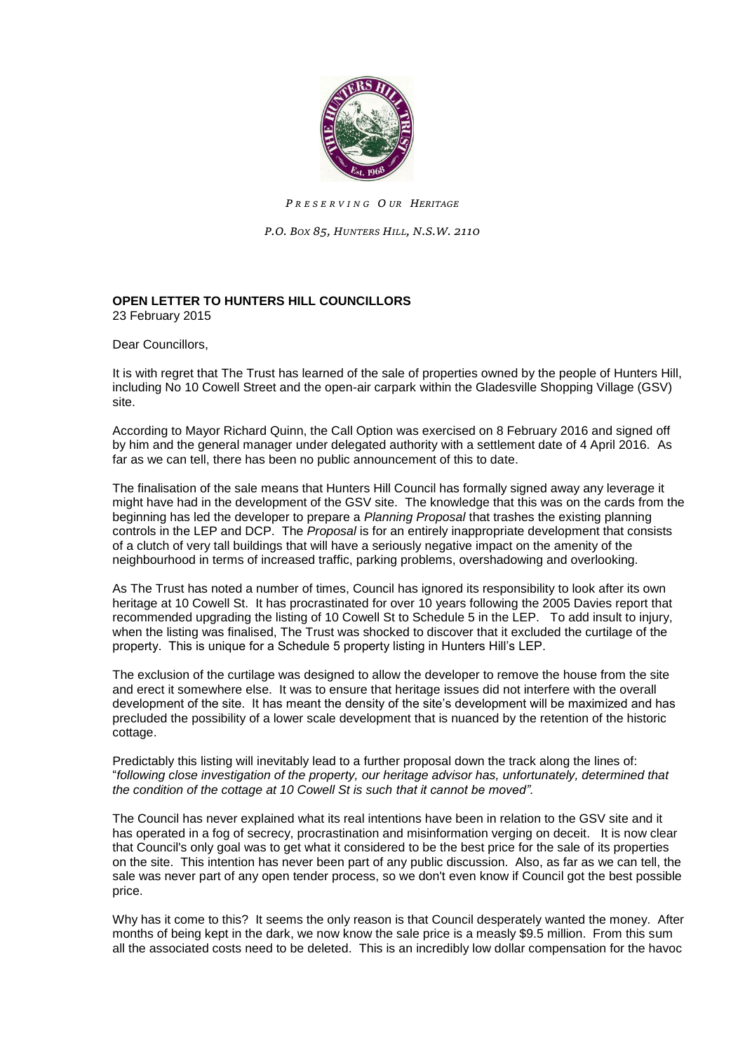

*P R E S E R V I N G O UR HERITAGE*

*P.O. BOX 85, HUNTERS HILL, N.S.W. 2110*

## **OPEN LETTER TO HUNTERS HILL COUNCILLORS** 23 February 2015

Dear Councillors.

It is with regret that The Trust has learned of the sale of properties owned by the people of Hunters Hill, including No 10 Cowell Street and the open-air carpark within the Gladesville Shopping Village (GSV) site.

According to Mayor Richard Quinn, the Call Option was exercised on 8 February 2016 and signed off by him and the general manager under delegated authority with a settlement date of 4 April 2016. As far as we can tell, there has been no public announcement of this to date.

The finalisation of the sale means that Hunters Hill Council has formally signed away any leverage it might have had in the development of the GSV site. The knowledge that this was on the cards from the beginning has led the developer to prepare a *Planning Proposal* that trashes the existing planning controls in the LEP and DCP. The *Proposal* is for an entirely inappropriate development that consists of a clutch of very tall buildings that will have a seriously negative impact on the amenity of the neighbourhood in terms of increased traffic, parking problems, overshadowing and overlooking.

As The Trust has noted a number of times, Council has ignored its responsibility to look after its own heritage at 10 Cowell St. It has procrastinated for over 10 years following the 2005 Davies report that recommended upgrading the listing of 10 Cowell St to Schedule 5 in the LEP. To add insult to injury, when the listing was finalised, The Trust was shocked to discover that it excluded the curtilage of the property. This is unique for a Schedule 5 property listing in Hunters Hill's LEP.

The exclusion of the curtilage was designed to allow the developer to remove the house from the site and erect it somewhere else. It was to ensure that heritage issues did not interfere with the overall development of the site. It has meant the density of the site's development will be maximized and has precluded the possibility of a lower scale development that is nuanced by the retention of the historic cottage.

Predictably this listing will inevitably lead to a further proposal down the track along the lines of: "*following close investigation of the property, our heritage advisor has, unfortunately, determined that the condition of the cottage at 10 Cowell St is such that it cannot be moved".*

The Council has never explained what its real intentions have been in relation to the GSV site and it has operated in a fog of secrecy, procrastination and misinformation verging on deceit. It is now clear that Council's only goal was to get what it considered to be the best price for the sale of its properties on the site. This intention has never been part of any public discussion. Also, as far as we can tell, the sale was never part of any open tender process, so we don't even know if Council got the best possible price.

Why has it come to this? It seems the only reason is that Council desperately wanted the money. After months of being kept in the dark, we now know the sale price is a measly \$9.5 million. From this sum all the associated costs need to be deleted. This is an incredibly low dollar compensation for the havoc